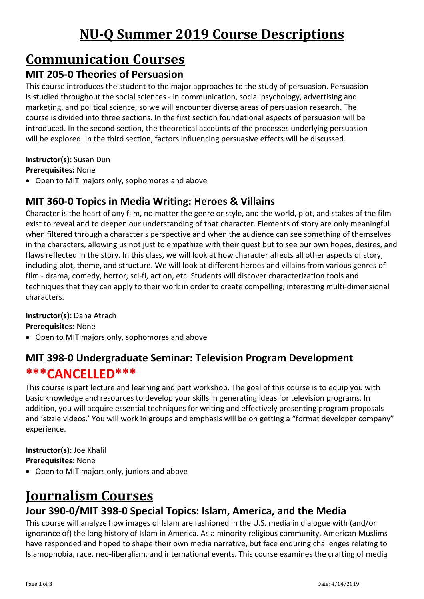# **Communication Courses**

### **MIT 205-0 Theories of Persuasion**

This course introduces the student to the major approaches to the study of persuasion. Persuasion is studied throughout the social sciences - in communication, social psychology, advertising and marketing, and political science, so we will encounter diverse areas of persuasion research. The course is divided into three sections. In the first section foundational aspects of persuasion will be introduced. In the second section, the theoretical accounts of the processes underlying persuasion will be explored. In the third section, factors influencing persuasive effects will be discussed.

**Instructor(s):** Susan Dun

**Prerequisites:** None

• Open to MIT majors only, sophomores and above

## **MIT 360-0 Topics in Media Writing: Heroes & Villains**

Character is the heart of any film, no matter the genre or style, and the world, plot, and stakes of the film exist to reveal and to deepen our understanding of that character. Elements of story are only meaningful when filtered through a character's perspective and when the audience can see something of themselves in the characters, allowing us not just to empathize with their quest but to see our own hopes, desires, and flaws reflected in the story. In this class, we will look at how character affects all other aspects of story, including plot, theme, and structure. We will look at different heroes and villains from various genres of film - drama, comedy, horror, sci-fi, action, etc. Students will discover characterization tools and techniques that they can apply to their work in order to create compelling, interesting multi-dimensional characters.

#### **Instructor(s):** Dana Atrach

**Prerequisites:** None

• Open to MIT majors only, sophomores and above

## **MIT 398-0 Undergraduate Seminar: Television Program Development \*\*\*CANCELLED\*\*\***

This course is part lecture and learning and part workshop. The goal of this course is to equip you with basic knowledge and resources to develop your skills in generating ideas for television programs. In addition, you will acquire essential techniques for writing and effectively presenting program proposals and 'sizzle videos.' You will work in groups and emphasis will be on getting a "format developer company" experience.

#### **Instructor(s):** Joe Khalil

**Prerequisites:** None

• Open to MIT majors only, juniors and above

## **Journalism Courses**

### **Jour 390-0/MIT 398-0 Special Topics: Islam, America, and the Media**

This course will analyze how images of Islam are fashioned in the U.S. media in dialogue with (and/or ignorance of) the long history of Islam in America. As a minority religious community, American Muslims have responded and hoped to shape their own media narrative, but face enduring challenges relating to Islamophobia, race, neo-liberalism, and international events. This course examines the crafting of media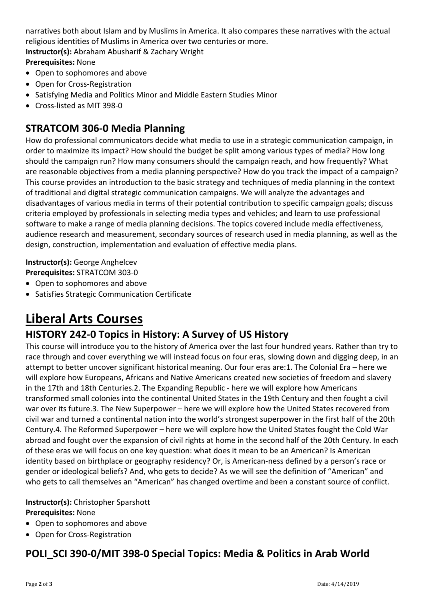narratives both about Islam and by Muslims in America. It also compares these narratives with the actual religious identities of Muslims in America over two centuries or more. **Instructor(s):** Abraham Abusharif & Zachary Wright **Prerequisites:** None

- Open to sophomores and above
- Open for Cross-Registration
- Satisfying Media and Politics Minor and Middle Eastern Studies Minor
- Cross-listed as MIT 398-0

#### **STRATCOM 306-0 Media Planning**

How do professional communicators decide what media to use in a strategic communication campaign, in order to maximize its impact? How should the budget be split among various types of media? How long should the campaign run? How many consumers should the campaign reach, and how frequently? What are reasonable objectives from a media planning perspective? How do you track the impact of a campaign? This course provides an introduction to the basic strategy and techniques of media planning in the context of traditional and digital strategic communication campaigns. We will analyze the advantages and disadvantages of various media in terms of their potential contribution to specific campaign goals; discuss criteria employed by professionals in selecting media types and vehicles; and learn to use professional software to make a range of media planning decisions. The topics covered include media effectiveness, audience research and measurement, secondary sources of research used in media planning, as well as the design, construction, implementation and evaluation of effective media plans.

**Instructor(s):** George Anghelcev **Prerequisites:** STRATCOM 303-0

- Open to sophomores and above
- Satisfies Strategic Communication Certificate

## **Liberal Arts Courses**

#### **HISTORY 242-0 Topics in History: A Survey of US History**

This course will introduce you to the history of America over the last four hundred years. Rather than try to race through and cover everything we will instead focus on four eras, slowing down and digging deep, in an attempt to better uncover significant historical meaning. Our four eras are:1. The Colonial Era – here we will explore how Europeans, Africans and Native Americans created new societies of freedom and slavery in the 17th and 18th Centuries.2. The Expanding Republic - here we will explore how Americans transformed small colonies into the continental United States in the 19th Century and then fought a civil war over its future.3. The New Superpower – here we will explore how the United States recovered from civil war and turned a continental nation into the world's strongest superpower in the first half of the 20th Century.4. The Reformed Superpower – here we will explore how the United States fought the Cold War abroad and fought over the expansion of civil rights at home in the second half of the 20th Century. In each of these eras we will focus on one key question: what does it mean to be an American? Is American identity based on birthplace or geography residency? Or, is American-ness defined by a person's race or gender or ideological beliefs? And, who gets to decide? As we will see the definition of "American" and who gets to call themselves an "American" has changed overtime and been a constant source of conflict.

#### **Instructor(s):** Christopher Sparshott **Prerequisites:** None

- Open to sophomores and above
- Open for Cross-Registration

### **POLI\_SCI 390-0/MIT 398-0 Special Topics: Media & Politics in Arab World**